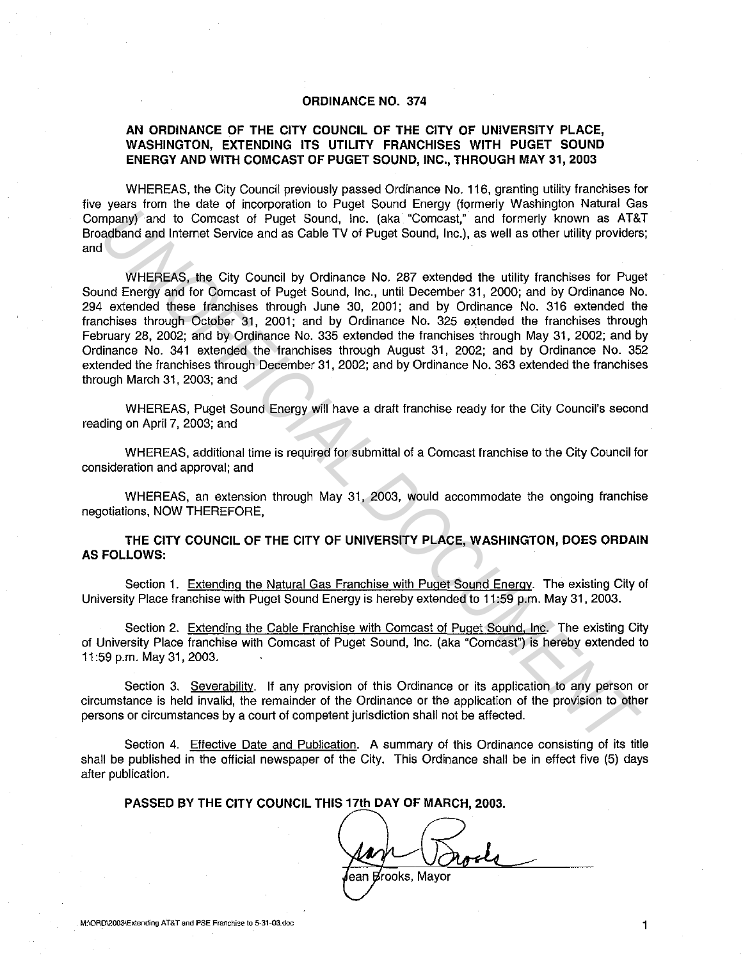## **ORDINANCE NO. 374**

## **AN ORDINANCE OF THE CITY COUNCIL OF THE CITY OF UNIVERSITY PLACE, WASHINGTON, EXTENDING ITS UTILITY FRANCHISES WITH PUGET SOUND ENERGY AND WITH COMCAST OF PUGET SOUND, INC., THROUGH MAY 31, 2003**

WHEREAS, the City Council previously passed Ordinance No. 116, granting utility franchises for five years from the date of incorporation to Puget Sound Energy (formerly Washington Natural Gas Company) and to Comcast of Puget Sound, Inc. (aka "Comcast," and formerly known as AT&T Broadband and Internet Service and as Cable TV of Puget Sound, Inc.), as well as other utility providers; and

WHEREAS, the City Council by Ordinance No. 287 extended the utility franchises for Puget Sound Energy and for Comcast of Puget Sound, Inc., until December 31, 2000; and by Ordinance No. 294 extended these franchises through June 30, 2001; and by Ordinance No. 316 extended the franchises through October 31, 2001; and by Ordinance No. 325 extended the franchises through February 28, 2002; and by Ordinance No. 335 extended the franchises through May 31, 2002; and by Ordinance No. 341 extended the franchises through August 31, 2002; and by Ordinance No. 352 extended the franchises through December 31, 2002; and by Ordinance No. 363 extended the franchises through March 31, 2003; and mpany) and to Conneast of Pugel Sound, inc. (aka "Compast" and formerly known as AT&<br>
unadid and internet Service and as Cable TV of Pugel Sound, inc. (aka "Compast" and formerly known as AT&<br>
UNIFICIAL DOCUMENT OF UNIFICI

WHEREAS, Puget Sound Energy will have a draft franchise ready for the City Council's second reading on April 7, 2003; and

WHEREAS, additional time is required for submittal of a Comcast franchise to the City Council for consideration and approval; and

WHEREAS, an extension through May 31, 2003, would accommodate the ongoing franchise negotiations, NOW THEREFORE,

**THE CITY COUNCIL OF THE CITY OF UNIVERSITY PLACE, WASHINGTON, DOES ORDAIN AS FOLLOWS:** 

Section 1. Extending the Natural Gas Franchise with Puget Sound Energy. The existing City of University Place franchise with Puget Sound Energy is hereby extended to 11 :59 p.m. May 31, 2003.

Section 2. Extending the Cable Franchise with Comcast of Puget Sound, Inc. The existing City of University Place franchise with Comcast of Puget Sound, Inc. (aka "Comcast") is hereby extended to 11 :59 p.m. May 31, 2003.

Section 3. Severability. If any provision of this Ordinance or its application to any person or circumstance is held invalid, the remainder of the Ordinance or the application of the provision to other persons or circumstances by a court of competent jurisdiction shall not be affected.

Section 4. Effective Date and Publication. A summary of this Ordinance consisting of its title shall be published in the official newspaper of the City. This Ordinance shall be in effect five (5) days after publication.

**PASSED BY THE CITY COUNCIL THIS 17th DAY OF MARCH, 2003.** 

lean Brooks. Mavor